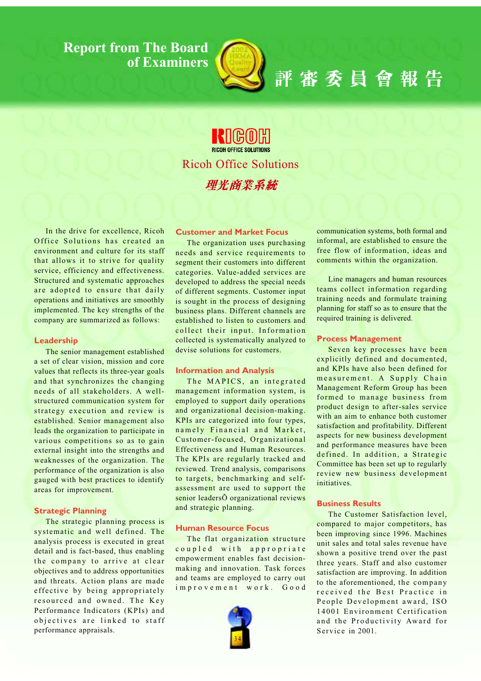**Report from The Board** of Examiners



# 評審委員會報告

**BICOH OFFICE SOLUTIONS Ricoh Office Solutions** 理光商業系統

In the drive for excellence, Ricoh Office Solutions has created an environment and culture for its staff that allows it to strive for quality service, efficiency and effectiveness. Structured and systematic approaches are adopted to ensure that daily operations and initiatives are smoothly implemented. The key strengths of the company are summarized as follows:

#### Leadership

The senior management established a set of clear vision, mission and core values that reflects its three-year goals and that synchronizes the changing needs of all stakeholders. A wellstructured communication system for strategy execution and review is established. Senior management also leads the organization to participate in various competitions so as to gain external insight into the strengths and weaknesses of the organization. The performance of the organization is also gauged with best practices to identify areas for improvement.

#### **Strategic Planning**

The strategic planning process is systematic and well defined. The analysis process is executed in great detail and is fact-based, thus enabling the company to arrive at clear objectives and to address opportunities and threats. Action plans are made effective by being appropriately resourced and owned. The Key Performance Indicators (KPIs) and objectives are linked to staff performance appraisals.

## **Customer and Market Focus**

The organization uses purchasing needs and service requirements to segment their customers into different categories. Value-added services are developed to address the special needs of different segments. Customer input is sought in the process of designing business plans. Different channels are established to listen to customers and collect their input. Information collected is systematically analyzed to devise solutions for customers.

#### **Information and Analysis**

The MAPICS, an integrated management information system, is employed to support daily operations and organizational decision-making. KPIs are categorized into four types, namely Financial and Market, Customer-focused, Organizational Effectiveness and Human Resources. The KPIs are regularly tracked and reviewed. Trend analysis, comparisons to targets, benchmarking and selfassessment are used to support the senior leaders Õ organizational reviews and strategic planning.

## **Human Resource Focus**

The flat organization structure coupled with appropriate empowerment enables fast decisionmaking and innovation. Task forces and teams are employed to carry out improvement work. Good



communication systems, both formal and informal, are established to ensure the free flow of information, ideas and comments within the organization.

Line managers and human resources teams collect information regarding training needs and formulate training planning for staff so as to ensure that the required training is delivered.

## **Process Management**

Seven key processes have been explicitly defined and documented, and KPIs have also been defined for measurement. A Supply Chain Management Reform Group has been formed to manage business from product design to after-sales service with an aim to enhance both customer satisfaction and profitability. Different aspects for new business development and performance measures have been defined. In addition, a Strategic Committee has been set up to regularly review new business development initiatives.

#### **Business Results**

The Customer Satisfaction level. compared to major competitors, has been improving since 1996. Machines unit sales and total sales revenue have shown a positive trend over the past three years. Staff and also customer satisfaction are improving. In addition to the aforementioned, the company received the Best Practice in People Development award, ISO 14001 Environment Certification and the Productivity Award for Service in 2001.